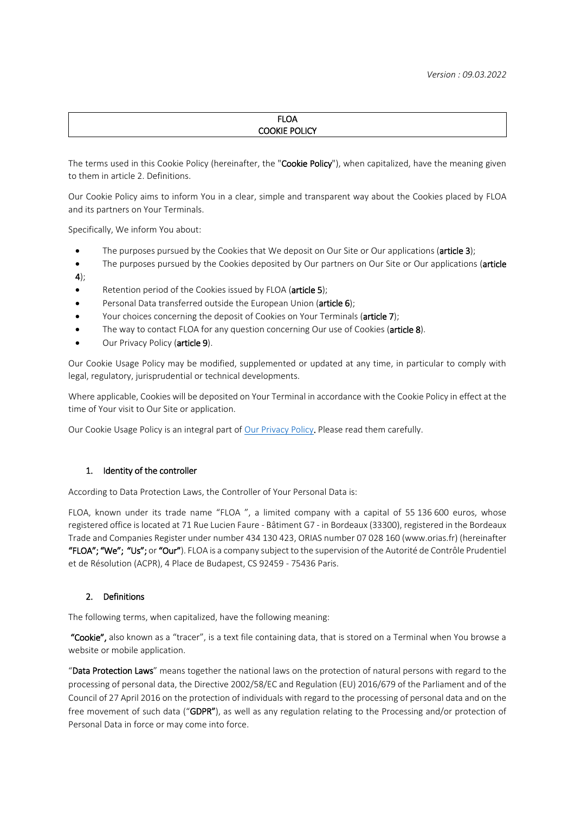#### FLOA COOKIE POLICY

The terms used in this Cookie Policy (hereinafter, the "Cookie Policy"), when capitalized, have the meaning given to them in article 2. Definitions.

Our Cookie Policy aims to inform You in a clear, simple and transparent way about the Cookies placed by FLOA and its partners on Your Terminals.

Specifically, We inform You about:

- The purposes pursued by the Cookies that We deposit on Our Site or Our applications (article 3);
- The purposes pursued by the Cookies deposited by Our partners on Our Site or Our applications (article
- 4);
- Retention period of the Cookies issued by FLOA (article 5);
- Personal Data transferred outside the European Union (article 6);
- Your choices concerning the deposit of Cookies on Your Terminals (article 7);
- The way to contact FLOA for any question concerning Our use of Cookies (article 8).
- Our Privacy Policy (article 9).

Our Cookie Usage Policy may be modified, supplemented or updated at any time, in particular to comply with legal, regulatory, jurisprudential or technical developments.

Where applicable, Cookies will be deposited on Your Terminal in accordance with the Cookie Policy in effect at the time of Your visit to Our Site or application.

Our Cookie Usage Policy is an integral part of [Our Privacy Policy.](https://www.floapay.com/images/PDF/20210330_Politique_de_confidentialit_FLOA_Bank_EN.pdf) Please read them carefully.

#### 1. Identity of the controller

According to Data Protection Laws, the Controller of Your Personal Data is:

FLOA, known under its trade name "FLOA ", a limited company with a capital of 55 136 600 euros, whose registered office is located at 71 Rue Lucien Faure - Bâtiment G7 - in Bordeaux (33300), registered in the Bordeaux Trade and Companies Register under number 434 130 423, ORIAS number 07 028 160 (www.orias.fr) (hereinafter "FLOA"; "We"; "Us"; or "Our"). FLOA is a company subject to the supervision of the Autorité de Contrôle Prudentiel et de Résolution (ACPR), 4 Place de Budapest, CS 92459 - 75436 Paris.

#### 2. Definitions

The following terms, when capitalized, have the following meaning:

"Cookie", also known as a "tracer", is a text file containing data, that is stored on a Terminal when You browse a website or mobile application.

"Data Protection Laws" means together the national laws on the protection of natural persons with regard to the processing of personal data, the Directive 2002/58/EC and Regulation (EU) 2016/679 of the Parliament and of the Council of 27 April 2016 on the protection of individuals with regard to the processing of personal data and on the free movement of such data ("GDPR"), as well as any regulation relating to the Processing and/or protection of Personal Data in force or may come into force.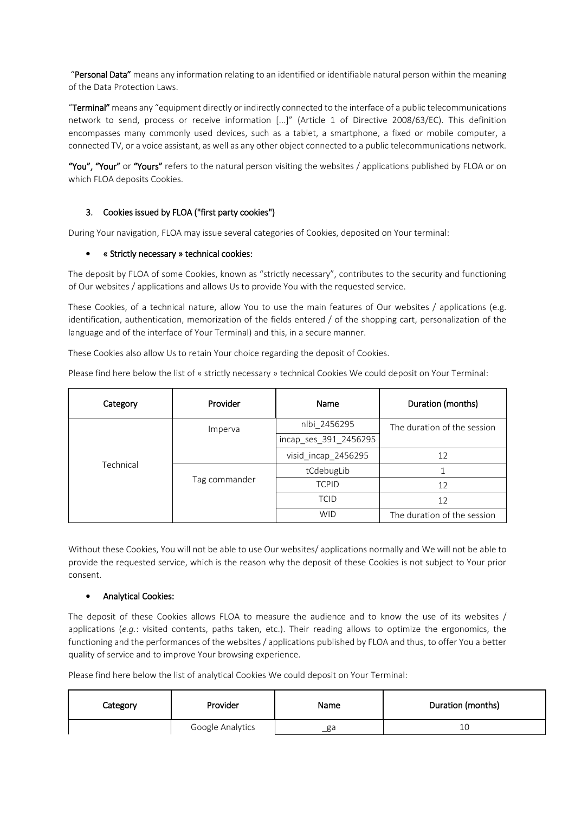"Personal Data" means any information relating to an identified or identifiable natural person within the meaning of the Data Protection Laws.

"Terminal" means any "equipment directly or indirectly connected to the interface of a public telecommunications network to send, process or receive information [...]" (Article 1 of Directive 2008/63/EC). This definition encompasses many commonly used devices, such as a tablet, a smartphone, a fixed or mobile computer, a connected TV, or a voice assistant, as well as any other object connected to a public telecommunications network.

"You", "Your" or "Yours" refers to the natural person visiting the websites / applications published by FLOA or on which FLOA deposits Cookies.

# 3. Cookies issued by FLOA ("first party cookies")

During Your navigation, FLOA may issue several categories of Cookies, deposited on Your terminal:

#### « Strictly necessary » technical cookies:

The deposit by FLOA of some Cookies, known as "strictly necessary", contributes to the security and functioning of Our websites / applications and allows Us to provide You with the requested service.

These Cookies, of a technical nature, allow You to use the main features of Our websites / applications (e.g. identification, authentication, memorization of the fields entered / of the shopping cart, personalization of the language and of the interface of Your Terminal) and this, in a secure manner.

These Cookies also allow Us to retain Your choice regarding the deposit of Cookies.

Please find here below the list of « strictly necessary » technical Cookies We could deposit on Your Terminal:

| Category  | Provider      | Name                  | Duration (months)           |
|-----------|---------------|-----------------------|-----------------------------|
| Technical | Imperva       | nlbi 2456295          | The duration of the session |
|           |               | incap_ses_391_2456295 |                             |
|           |               | visid_incap_2456295   | 12                          |
|           | Tag commander | tCdebugLib            |                             |
|           |               | <b>TCPID</b>          | 12                          |
|           |               | <b>TCID</b>           | 12                          |
|           |               | <b>WID</b>            | The duration of the session |

Without these Cookies, You will not be able to use Our websites/ applications normally and We will not be able to provide the requested service, which is the reason why the deposit of these Cookies is not subject to Your prior consent.

## Analytical Cookies:

The deposit of these Cookies allows FLOA to measure the audience and to know the use of its websites / applications (*e.g.*: visited contents, paths taken, etc.). Their reading allows to optimize the ergonomics, the functioning and the performances of the websites / applications published by FLOA and thus, to offer You a better quality of service and to improve Your browsing experience.

Please find here below the list of analytical Cookies We could deposit on Your Terminal:

| Category | Provider         | Name | Duration (months) |
|----------|------------------|------|-------------------|
|          | Google Analytics | _ga  | 10                |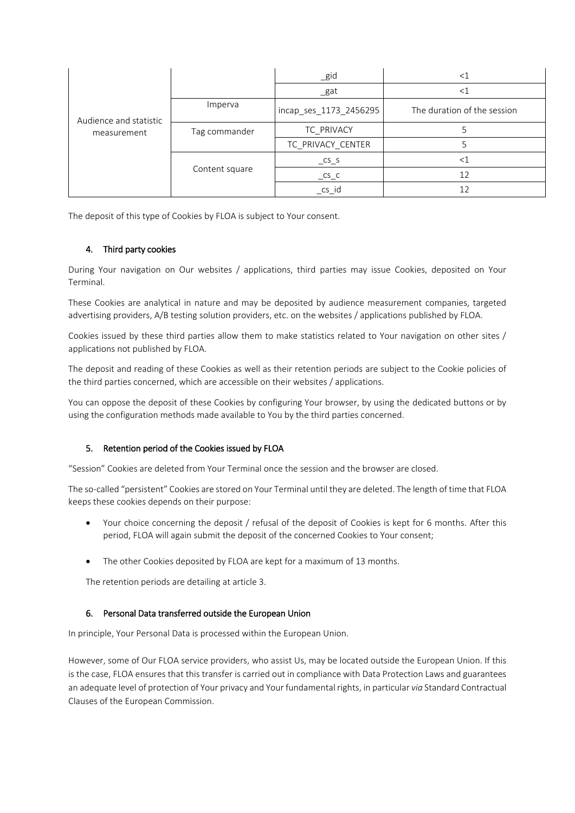| Audience and statistic<br>measurement |                | $\_$ gid                    | ≤∃                          |
|---------------------------------------|----------------|-----------------------------|-----------------------------|
|                                       |                | $\_$ gat                    | ≤∃                          |
|                                       | Imperva        | incap_ses_1173_2456295      | The duration of the session |
|                                       | Tag commander  | TC PRIVACY                  |                             |
|                                       |                | TC_PRIVACY_CENTER           |                             |
|                                       | Content square | $\mathsf{c}$ s $\mathsf{c}$ | $\,<\,$                     |
|                                       |                | $\mathsf{CS}\_ \mathsf{C}$  | 12                          |
|                                       |                | cs id                       | 12                          |

The deposit of this type of Cookies by FLOA is subject to Your consent.

## 4. Third party cookies

During Your navigation on Our websites / applications, third parties may issue Cookies, deposited on Your Terminal.

These Cookies are analytical in nature and may be deposited by audience measurement companies, targeted advertising providers, A/B testing solution providers, etc. on the websites / applications published by FLOA.

Cookies issued by these third parties allow them to make statistics related to Your navigation on other sites / applications not published by FLOA.

The deposit and reading of these Cookies as well as their retention periods are subject to the Cookie policies of the third parties concerned, which are accessible on their websites / applications.

You can oppose the deposit of these Cookies by configuring Your browser, by using the dedicated buttons or by using the configuration methods made available to You by the third parties concerned.

## 5. Retention period of the Cookies issued by FLOA

"Session" Cookies are deleted from Your Terminal once the session and the browser are closed.

The so-called "persistent" Cookies are stored on Your Terminal until they are deleted. The length of time that FLOA keeps these cookies depends on their purpose:

- Your choice concerning the deposit / refusal of the deposit of Cookies is kept for 6 months. After this period, FLOA will again submit the deposit of the concerned Cookies to Your consent;
- The other Cookies deposited by FLOA are kept for a maximum of 13 months.

The retention periods are detailing at article 3.

## 6. Personal Data transferred outside the European Union

In principle, Your Personal Data is processed within the European Union.

However, some of Our FLOA service providers, who assist Us, may be located outside the European Union. If this is the case, FLOA ensures that this transfer is carried out in compliance with Data Protection Laws and guarantees an adequate level of protection of Your privacy and Your fundamental rights, in particular *via* Standard Contractual Clauses of the European Commission.